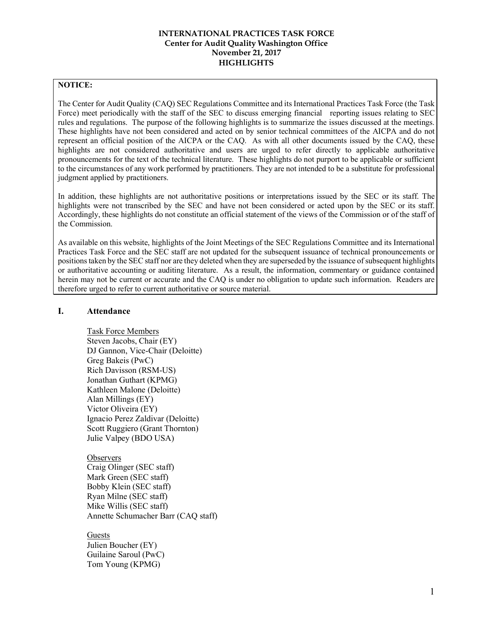#### **NOTICE:**

The Center for Audit Quality (CAQ) SEC Regulations Committee and its International Practices Task Force (the Task Force) meet periodically with the staff of the SEC to discuss emerging financial reporting issues relating to SEC rules and regulations. The purpose of the following highlights is to summarize the issues discussed at the meetings. These highlights have not been considered and acted on by senior technical committees of the AICPA and do not represent an official position of the AICPA or the CAQ. As with all other documents issued by the CAQ, these highlights are not considered authoritative and users are urged to refer directly to applicable authoritative pronouncements for the text of the technical literature. These highlights do not purport to be applicable or sufficient to the circumstances of any work performed by practitioners. They are not intended to be a substitute for professional judgment applied by practitioners.

In addition, these highlights are not authoritative positions or interpretations issued by the SEC or its staff. The highlights were not transcribed by the SEC and have not been considered or acted upon by the SEC or its staff. Accordingly, these highlights do not constitute an official statement of the views of the Commission or of the staff of the Commission.

As available on this website, highlights of the Joint Meetings of the SEC Regulations Committee and its International Practices Task Force and the SEC staff are not updated for the subsequent issuance of technical pronouncements or positions taken by the SEC staff nor are they deleted when they are superseded by the issuance of subsequent highlights or authoritative accounting or auditing literature. As a result, the information, commentary or guidance contained herein may not be current or accurate and the CAQ is under no obligation to update such information. Readers are therefore urged to refer to current authoritative or source material.

### **I. Attendance**

Task Force Members Steven Jacobs, Chair (EY) DJ Gannon, Vice-Chair (Deloitte) Greg Bakeis (PwC) Rich Davisson (RSM-US) Jonathan Guthart (KPMG) Kathleen Malone (Deloitte) Alan Millings (EY) Victor Oliveira (EY) Ignacio Perez Zaldivar (Deloitte) Scott Ruggiero (Grant Thornton) Julie Valpey (BDO USA)

#### **Observers**

Craig Olinger (SEC staff) Mark Green (SEC staff) Bobby Klein (SEC staff) Ryan Milne (SEC staff) Mike Willis (SEC staff) Annette Schumacher Barr (CAQ staff)

### Guests

Julien Boucher (EY) Guilaine Saroul (PwC) Tom Young (KPMG)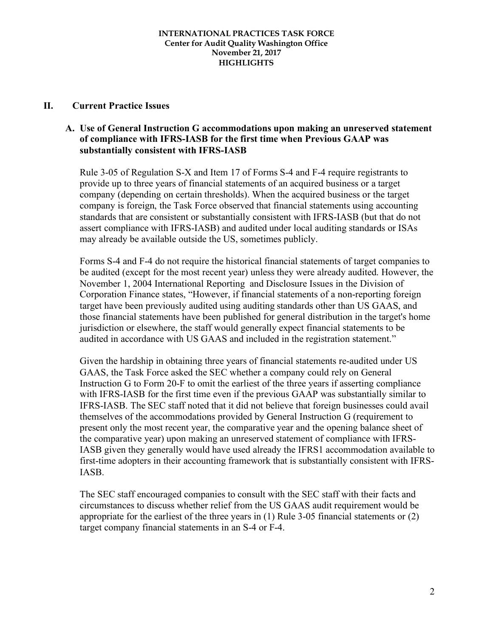### **II. Current Practice Issues**

# **A. Use of General Instruction G accommodations upon making an unreserved statement of compliance with IFRS-IASB for the first time when Previous GAAP was substantially consistent with IFRS-IASB**

Rule 3-05 of Regulation S-X and Item 17 of Forms S-4 and F-4 require registrants to provide up to three years of financial statements of an acquired business or a target company (depending on certain thresholds). When the acquired business or the target company is foreign, the Task Force observed that financial statements using accounting standards that are consistent or substantially consistent with IFRS-IASB (but that do not assert compliance with IFRS-IASB) and audited under local auditing standards or ISAs may already be available outside the US, sometimes publicly.

Forms S-4 and F-4 do not require the historical financial statements of target companies to be audited (except for the most recent year) unless they were already audited. However, the November 1, 2004 International Reporting and Disclosure Issues in the Division of Corporation Finance states, "However, if financial statements of a non-reporting foreign target have been previously audited using auditing standards other than US GAAS, and those financial statements have been published for general distribution in the target's home jurisdiction or elsewhere, the staff would generally expect financial statements to be audited in accordance with US GAAS and included in the registration statement."

Given the hardship in obtaining three years of financial statements re-audited under US GAAS, the Task Force asked the SEC whether a company could rely on General Instruction G to Form 20-F to omit the earliest of the three years if asserting compliance with IFRS-IASB for the first time even if the previous GAAP was substantially similar to IFRS-IASB. The SEC staff noted that it did not believe that foreign businesses could avail themselves of the accommodations provided by General Instruction G (requirement to present only the most recent year, the comparative year and the opening balance sheet of the comparative year) upon making an unreserved statement of compliance with IFRS-IASB given they generally would have used already the IFRS1 accommodation available to first-time adopters in their accounting framework that is substantially consistent with IFRS-IASB.

The SEC staff encouraged companies to consult with the SEC staff with their facts and circumstances to discuss whether relief from the US GAAS audit requirement would be appropriate for the earliest of the three years in (1) Rule 3-05 financial statements or (2) target company financial statements in an S-4 or F-4.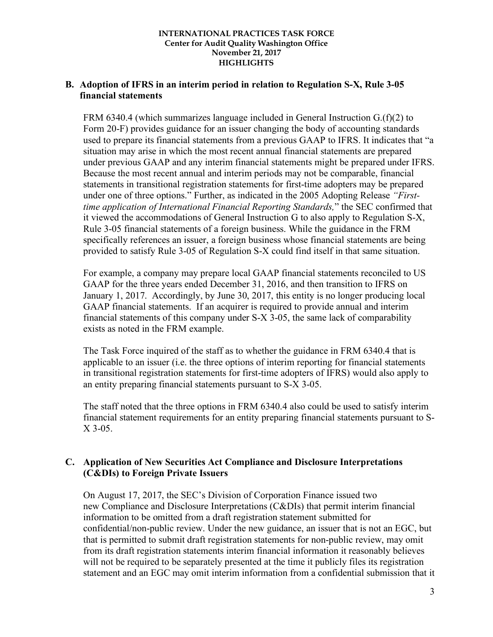### **B. Adoption of IFRS in an interim period in relation to Regulation S-X, Rule 3-05 financial statements**

FRM 6340.4 (which summarizes language included in General Instruction G.(f)(2) to Form 20-F) provides guidance for an issuer changing the body of accounting standards used to prepare its financial statements from a previous GAAP to IFRS. It indicates that "a situation may arise in which the most recent annual financial statements are prepared under previous GAAP and any interim financial statements might be prepared under IFRS. Because the most recent annual and interim periods may not be comparable, financial statements in transitional registration statements for first-time adopters may be prepared under one of three options." Further, as indicated in the 2005 Adopting Release *"Firsttime application of International Financial Reporting Standards,*" the SEC confirmed that it viewed the accommodations of General Instruction G to also apply to Regulation S-X, Rule 3-05 financial statements of a foreign business. While the guidance in the FRM specifically references an issuer, a foreign business whose financial statements are being provided to satisfy Rule 3-05 of Regulation S-X could find itself in that same situation.

For example, a company may prepare local GAAP financial statements reconciled to US GAAP for the three years ended December 31, 2016, and then transition to IFRS on January 1, 2017. Accordingly, by June 30, 2017, this entity is no longer producing local GAAP financial statements. If an acquirer is required to provide annual and interim financial statements of this company under S-X 3-05, the same lack of comparability exists as noted in the FRM example.

The Task Force inquired of the staff as to whether the guidance in FRM 6340.4 that is applicable to an issuer (i.e. the three options of interim reporting for financial statements in transitional registration statements for first-time adopters of IFRS) would also apply to an entity preparing financial statements pursuant to S-X 3-05.

The staff noted that the three options in FRM 6340.4 also could be used to satisfy interim financial statement requirements for an entity preparing financial statements pursuant to S-X 3-05.

# **C. Application of New Securities Act Compliance and Disclosure Interpretations (C&DIs) to Foreign Private Issuers**

On August 17, 2017, the SEC's Division of Corporation Finance issued two new Compliance and Disclosure Interpretations (C&DIs) that permit interim financial information to be omitted from a draft registration statement submitted for confidential/non-public review. Under the new guidance, an issuer that is not an EGC, but that is permitted to submit draft registration statements for non-public review, may omit from its draft registration statements interim financial information it reasonably believes will not be required to be separately presented at the time it publicly files its registration statement and an EGC may omit interim information from a confidential submission that it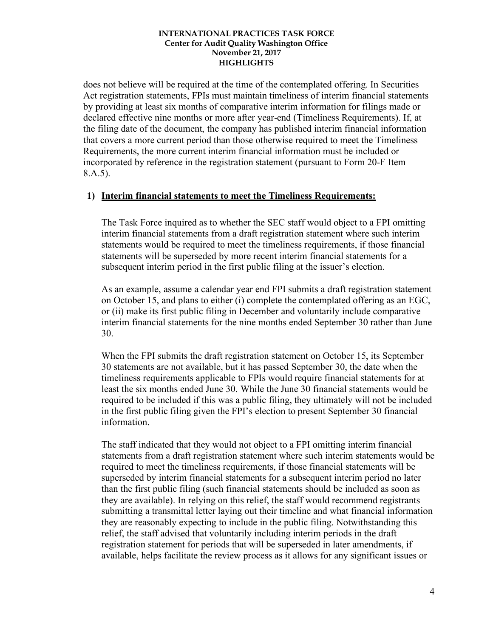does not believe will be required at the time of the contemplated offering. In Securities Act registration statements, FPIs must maintain timeliness of interim financial statements by providing at least six months of comparative interim information for filings made or declared effective nine months or more after year-end (Timeliness Requirements). If, at the filing date of the document, the company has published interim financial information that covers a more current period than those otherwise required to meet the Timeliness Requirements, the more current interim financial information must be included or incorporated by reference in the registration statement (pursuant to Form 20-F Item 8.A.5).

### **1) Interim financial statements to meet the Timeliness Requirements:**

The Task Force inquired as to whether the SEC staff would object to a FPI omitting interim financial statements from a draft registration statement where such interim statements would be required to meet the timeliness requirements, if those financial statements will be superseded by more recent interim financial statements for a subsequent interim period in the first public filing at the issuer's election.

As an example, assume a calendar year end FPI submits a draft registration statement on October 15, and plans to either (i) complete the contemplated offering as an EGC, or (ii) make its first public filing in December and voluntarily include comparative interim financial statements for the nine months ended September 30 rather than June 30.

When the FPI submits the draft registration statement on October 15, its September 30 statements are not available, but it has passed September 30, the date when the timeliness requirements applicable to FPIs would require financial statements for at least the six months ended June 30. While the June 30 financial statements would be required to be included if this was a public filing, they ultimately will not be included in the first public filing given the FPI's election to present September 30 financial information.

The staff indicated that they would not object to a FPI omitting interim financial statements from a draft registration statement where such interim statements would be required to meet the timeliness requirements, if those financial statements will be superseded by interim financial statements for a subsequent interim period no later than the first public filing (such financial statements should be included as soon as they are available). In relying on this relief, the staff would recommend registrants submitting a transmittal letter laying out their timeline and what financial information they are reasonably expecting to include in the public filing. Notwithstanding this relief, the staff advised that voluntarily including interim periods in the draft registration statement for periods that will be superseded in later amendments, if available, helps facilitate the review process as it allows for any significant issues or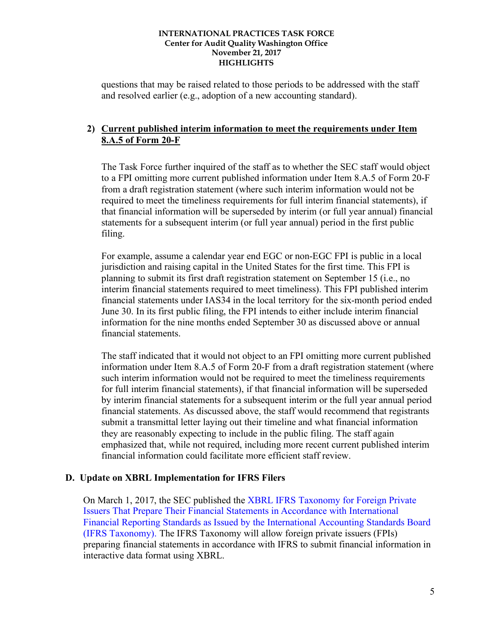questions that may be raised related to those periods to be addressed with the staff and resolved earlier (e.g., adoption of a new accounting standard).

# **2) Current published interim information to meet the requirements under Item 8.A.5 of Form 20-F**

The Task Force further inquired of the staff as to whether the SEC staff would object to a FPI omitting more current published information under Item 8.A.5 of Form 20-F from a draft registration statement (where such interim information would not be required to meet the timeliness requirements for full interim financial statements), if that financial information will be superseded by interim (or full year annual) financial statements for a subsequent interim (or full year annual) period in the first public filing.

For example, assume a calendar year end EGC or non-EGC FPI is public in a local jurisdiction and raising capital in the United States for the first time. This FPI is planning to submit its first draft registration statement on September 15 (i.e., no interim financial statements required to meet timeliness). This FPI published interim financial statements under IAS34 in the local territory for the six-month period ended June 30. In its first public filing, the FPI intends to either include interim financial information for the nine months ended September 30 as discussed above or annual financial statements.

The staff indicated that it would not object to an FPI omitting more current published information under Item 8.A.5 of Form 20-F from a draft registration statement (where such interim information would not be required to meet the timeliness requirements for full interim financial statements), if that financial information will be superseded by interim financial statements for a subsequent interim or the full year annual period financial statements. As discussed above, the staff would recommend that registrants submit a transmittal letter laying out their timeline and what financial information they are reasonably expecting to include in the public filing. The staff again emphasized that, while not required, including more recent current published interim financial information could facilitate more efficient staff review.

# **D. Update on XBRL Implementation for IFRS Filers**

On March 1, 2017, the SEC published the XBRL IFRS Taxonomy for Foreign Private Issuers That Prepare Their Financial Statements in Accordance with International Financial Reporting Standards as Issued by the International Accounting Standards Board (IFRS Taxonomy). The IFRS Taxonomy will allow foreign private issuers (FPIs) preparing financial statements in accordance with IFRS to submit financial information in interactive data format using XBRL.